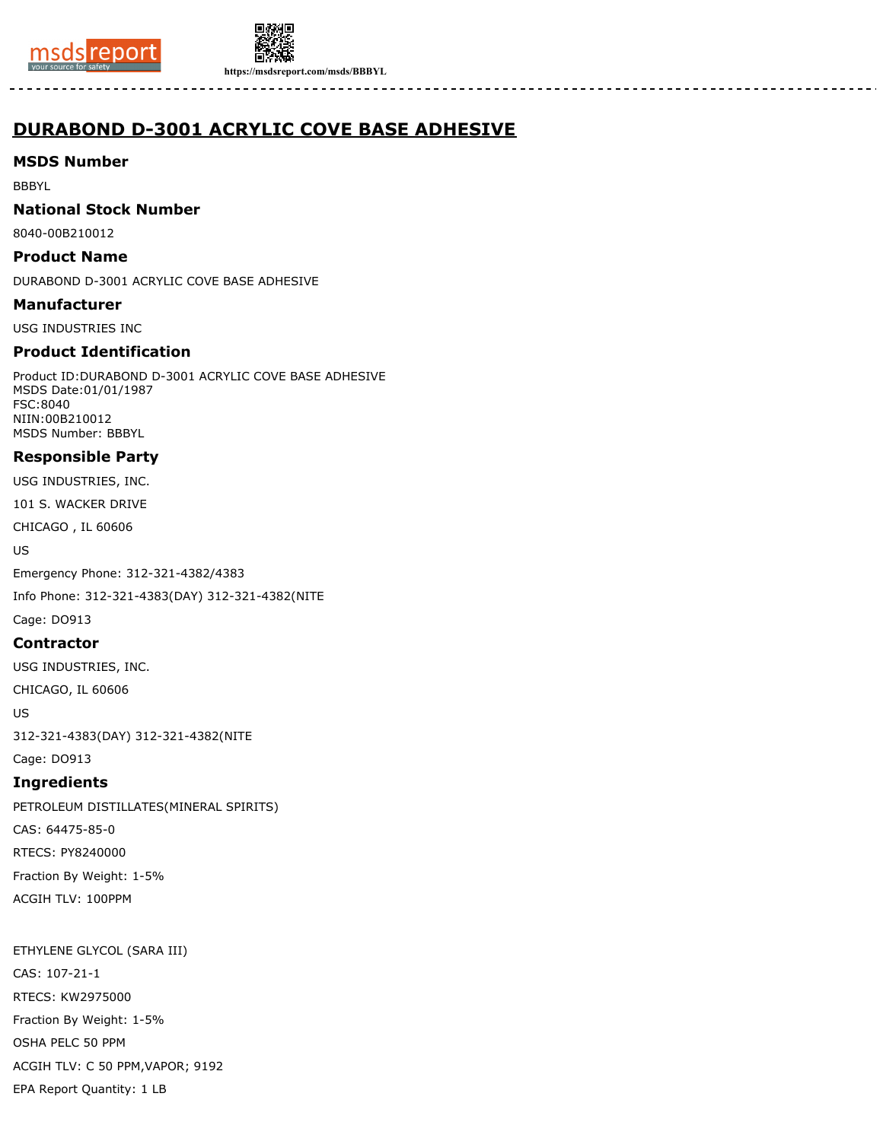



**https://msdsreport.com/msds/BBBYL**

# **DURABOND D-3001 ACRYLIC COVE BASE ADHESIVE**

# **MSDS Number**

BBBYL

### **National Stock Number**

8040-00B210012

### **Product Name**

DURABOND D-3001 ACRYLIC COVE BASE ADHESIVE

### **Manufacturer**

USG INDUSTRIES INC

# **Product Identification**

Product ID:DURABOND D-3001 ACRYLIC COVE BASE ADHESIVE MSDS Date:01/01/1987 FSC:8040 NIIN:00B210012 MSDS Number: BBBYL

# **Responsible Party**

USG INDUSTRIES, INC.

101 S. WACKER DRIVE

CHICAGO , IL 60606

US

Emergency Phone: 312-321-4382/4383

Info Phone: 312-321-4383(DAY) 312-321-4382(NITE

# Cage: DO913

### **Contractor**

USG INDUSTRIES, INC.

CHICAGO, IL 60606

US

312-321-4383(DAY) 312-321-4382(NITE

# Cage: DO913

**Ingredients** PETROLEUM DISTILLATES(MINERAL SPIRITS) CAS: 64475-85-0 RTECS: PY8240000

Fraction By Weight: 1-5% ACGIH TLV: 100PPM

ETHYLENE GLYCOL (SARA III) CAS: 107-21-1 RTECS: KW2975000 Fraction By Weight: 1-5% OSHA PELC 50 PPM ACGIH TLV: C 50 PPM,VAPOR; 9192 EPA Report Quantity: 1 LB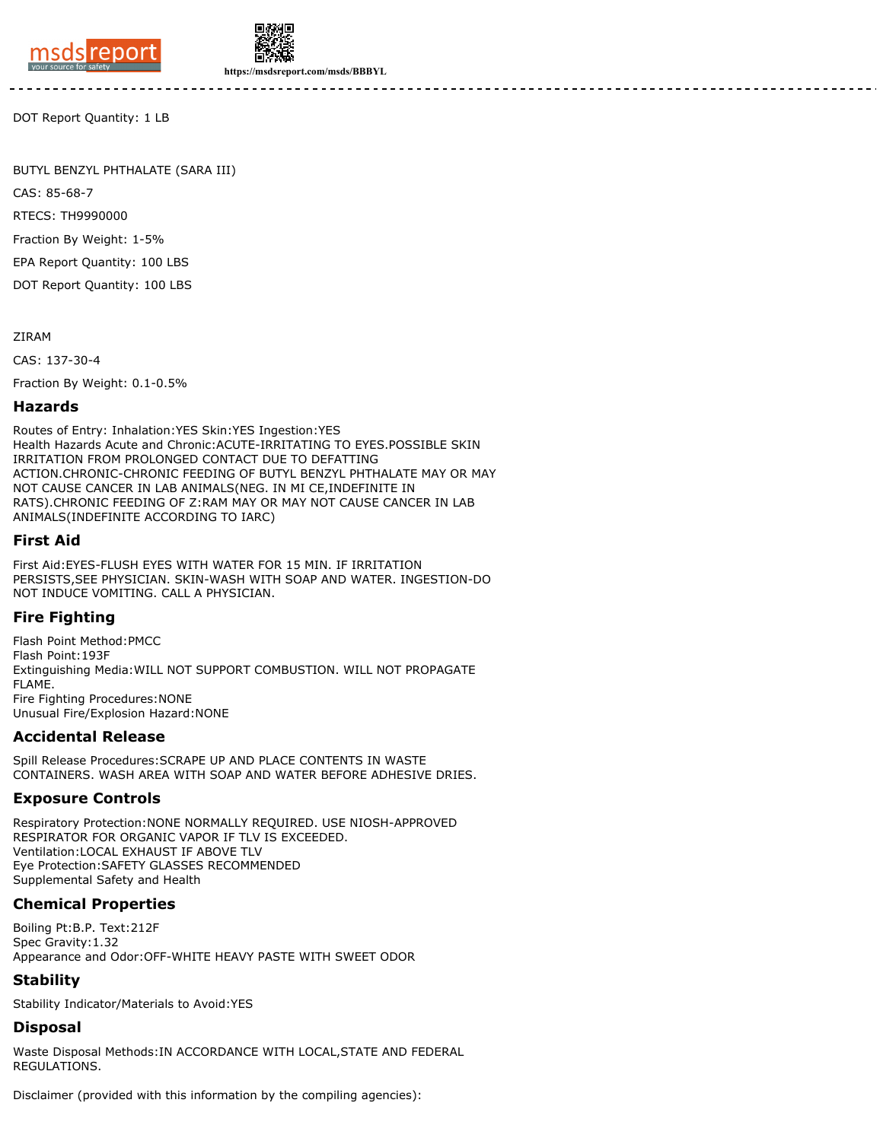



**https://msdsreport.com/msds/BBBYL**

DOT Report Quantity: 1 LB

BUTYL BENZYL PHTHALATE (SARA III)

CAS: 85-68-7

RTECS: TH9990000

Fraction By Weight: 1-5%

EPA Report Quantity: 100 LBS

DOT Report Quantity: 100 LBS

ZIRAM

CAS: 137-30-4

Fraction By Weight: 0.1-0.5%

#### **Hazards**

Routes of Entry: Inhalation:YES Skin:YES Ingestion:YES Health Hazards Acute and Chronic:ACUTE-IRRITATING TO EYES.POSSIBLE SKIN IRRITATION FROM PROLONGED CONTACT DUE TO DEFATTING ACTION.CHRONIC-CHRONIC FEEDING OF BUTYL BENZYL PHTHALATE MAY OR MAY NOT CAUSE CANCER IN LAB ANIMALS(NEG. IN MI CE,INDEFINITE IN RATS).CHRONIC FEEDING OF Z:RAM MAY OR MAY NOT CAUSE CANCER IN LAB ANIMALS(INDEFINITE ACCORDING TO IARC)

### **First Aid**

First Aid:EYES-FLUSH EYES WITH WATER FOR 15 MIN. IF IRRITATION PERSISTS,SEE PHYSICIAN. SKIN-WASH WITH SOAP AND WATER. INGESTION-DO NOT INDUCE VOMITING. CALL A PHYSICIAN.

### **Fire Fighting**

Flash Point Method:PMCC Flash Point:193F Extinguishing Media:WILL NOT SUPPORT COMBUSTION. WILL NOT PROPAGATE FLAME. Fire Fighting Procedures:NONE Unusual Fire/Explosion Hazard:NONE

### **Accidental Release**

Spill Release Procedures:SCRAPE UP AND PLACE CONTENTS IN WASTE CONTAINERS. WASH AREA WITH SOAP AND WATER BEFORE ADHESIVE DRIES.

### **Exposure Controls**

Respiratory Protection:NONE NORMALLY REQUIRED. USE NIOSH-APPROVED RESPIRATOR FOR ORGANIC VAPOR IF TLV IS EXCEEDED. Ventilation:LOCAL EXHAUST IF ABOVE TLV Eye Protection:SAFETY GLASSES RECOMMENDED Supplemental Safety and Health

### **Chemical Properties**

Boiling Pt:B.P. Text:212F Spec Gravity:1.32 Appearance and Odor:OFF-WHITE HEAVY PASTE WITH SWEET ODOR

# **Stability**

Stability Indicator/Materials to Avoid:YES

# **Disposal**

Waste Disposal Methods:IN ACCORDANCE WITH LOCAL,STATE AND FEDERAL REGULATIONS.

Disclaimer (provided with this information by the compiling agencies):